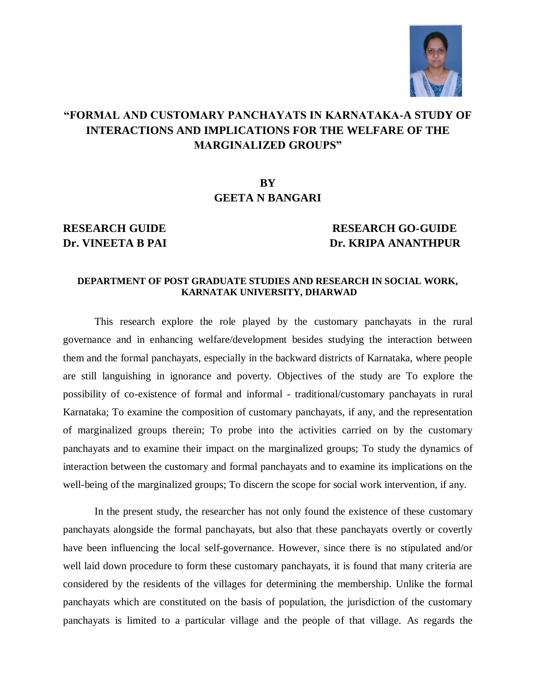

# **"FORMAL AND CUSTOMARY PANCHAYATS IN KARNATAKA-A STUDY OF INTERACTIONS AND IMPLICATIONS FOR THE WELFARE OF THE MARGINALIZED GROUPS"**

## **BY GEETA N BANGARI**

### **RESEARCH GUIDE RESEARCH GO-GUIDE Dr. VINEETA B PAI Dr. KRIPA ANANTHPUR**

### **DEPARTMENT OF POST GRADUATE STUDIES AND RESEARCH IN SOCIAL WORK, KARNATAK UNIVERSITY, DHARWAD**

This research explore the role played by the customary panchayats in the rural governance and in enhancing welfare/development besides studying the interaction between them and the formal panchayats, especially in the backward districts of Karnataka, where people are still languishing in ignorance and poverty. Objectives of the study are To explore the possibility of co-existence of formal and informal - traditional/customary panchayats in rural Karnataka; To examine the composition of customary panchayats, if any, and the representation of marginalized groups therein; To probe into the activities carried on by the customary panchayats and to examine their impact on the marginalized groups; To study the dynamics of interaction between the customary and formal panchayats and to examine its implications on the well-being of the marginalized groups; To discern the scope for social work intervention, if any.

In the present study, the researcher has not only found the existence of these customary panchayats alongside the formal panchayats, but also that these panchayats overtly or covertly have been influencing the local self-governance. However, since there is no stipulated and/or well laid down procedure to form these customary panchayats, it is found that many criteria are considered by the residents of the villages for determining the membership. Unlike the formal panchayats which are constituted on the basis of population, the jurisdiction of the customary panchayats is limited to a particular village and the people of that village. As regards the